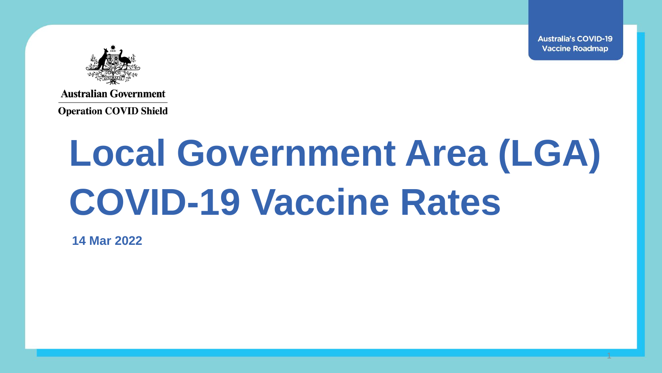1



**Australian Government** 

**Operation COVID Shield** 

# **Local Government Area (LGA) COVID-19 Vaccine Rates**

**14 Mar 2022**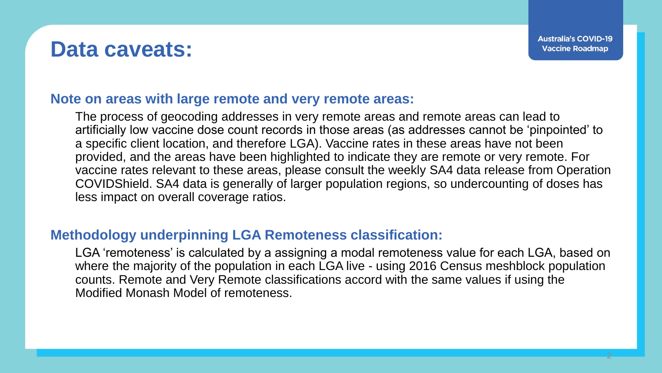#### **Data caveats:**

#### **Note on areas with large remote and very remote areas:**

The process of geocoding addresses in very remote areas and remote areas can lead to artificially low vaccine dose count records in those areas (as addresses cannot be 'pinpointed' to a specific client location, and therefore LGA). Vaccine rates in these areas have not been provided, and the areas have been highlighted to indicate they are remote or very remote. For vaccine rates relevant to these areas, please consult the weekly SA4 data release from Operation COVIDShield. SA4 data is generally of larger population regions, so undercounting of doses has less impact on overall coverage ratios.

#### **Methodology underpinning LGA Remoteness classification:**

LGA 'remoteness' is calculated by a assigning a modal remoteness value for each LGA, based on where the majority of the population in each LGA live - using 2016 Census meshblock population counts. Remote and Very Remote classifications accord with the same values if using the Modified Monash Model of remoteness.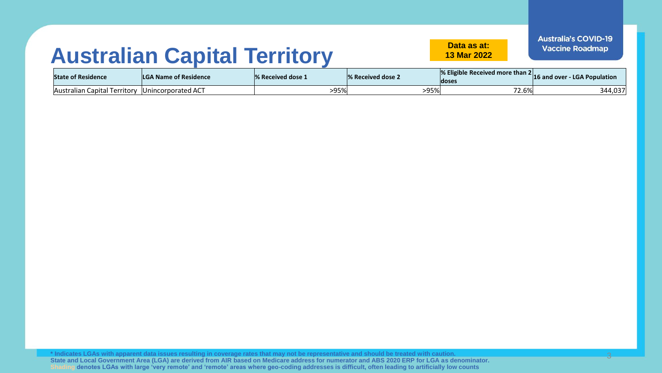#### **Australian Capital Territory Data as at:**

**13 Mar 2022**

3

| <b>State of Residence</b>                         | <b>LGA Name of Residence</b> | 1% Received dose 1 | <sup>1</sup> % Received dose 2 | $\%$ Eligible Received more than 2 16 and over - LGA Population<br>doses |         |
|---------------------------------------------------|------------------------------|--------------------|--------------------------------|--------------------------------------------------------------------------|---------|
| Australian Capital Territory   Unincorporated ACT |                              | $-95%$             | -95%                           | 72.6%                                                                    | 344,037 |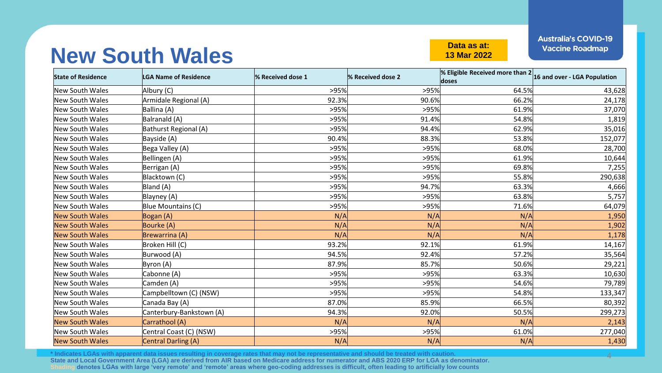#### **New South Wales Data as at:**

**13 Mar 2022**

**Australia's COVID-19 Vaccine Roadmap** 

4

| <b>State of Residence</b> | <b>LGA Name of Residence</b> | % Received dose 1 | % Received dose 2 | % Eligible Received more than $2 _{16}$ and over - LGA Population<br>doses |         |
|---------------------------|------------------------------|-------------------|-------------------|----------------------------------------------------------------------------|---------|
| New South Wales           | Albury (C)                   | >95%              | >95%              | 64.5%                                                                      | 43,628  |
| New South Wales           | Armidale Regional (A)        | 92.3%             | 90.6%             | 66.2%                                                                      | 24,178  |
| New South Wales           | Ballina (A)                  | >95%              | >95%              | 61.9%                                                                      | 37,070  |
| New South Wales           | Balranald (A)                | >95%              | 91.4%             | 54.8%                                                                      | 1,819   |
| <b>New South Wales</b>    | Bathurst Regional (A)        | >95%              | 94.4%             | 62.9%                                                                      | 35,016  |
| New South Wales           | Bayside (A)                  | 90.4%             | 88.3%             | 53.8%                                                                      | 152,077 |
| New South Wales           | Bega Valley (A)              | >95%              | >95%              | 68.0%                                                                      | 28,700  |
| <b>New South Wales</b>    | Bellingen (A)                | >95%              | >95%              | 61.9%                                                                      | 10,644  |
| New South Wales           | Berrigan (A)                 | >95%              | >95%              | 69.8%                                                                      | 7,255   |
| New South Wales           | Blacktown (C)                | >95%              | >95%              | 55.8%                                                                      | 290,638 |
| New South Wales           | Bland (A)                    | >95%              | 94.7%             | 63.3%                                                                      | 4,666   |
| New South Wales           | Blayney (A)                  | >95%              | >95%              | 63.8%                                                                      | 5,757   |
| New South Wales           | Blue Mountains (C)           | >95%              | >95%              | 71.6%                                                                      | 64,079  |
| <b>New South Wales</b>    | Bogan (A)                    | N/A               | N/A               | N/A                                                                        | 1,950   |
| <b>New South Wales</b>    | Bourke (A)                   | N/A               | N/A               | N/A                                                                        | 1,902   |
| <b>New South Wales</b>    | <b>Brewarrina (A)</b>        | N/A               | N/A               | N/A                                                                        | 1,178   |
| New South Wales           | Broken Hill (C)              | 93.2%             | 92.1%             | 61.9%                                                                      | 14,167  |
| <b>New South Wales</b>    | Burwood (A)                  | 94.5%             | 92.4%             | 57.2%                                                                      | 35,564  |
| New South Wales           | Byron (A)                    | 87.9%             | 85.7%             | 50.6%                                                                      | 29,221  |
| New South Wales           | Cabonne (A)                  | >95%              | >95%              | 63.3%                                                                      | 10,630  |
| New South Wales           | Camden (A)                   | >95%              | >95%              | 54.6%                                                                      | 79,789  |
| New South Wales           | Campbelltown (C) (NSW)       | >95%              | >95%              | 54.8%                                                                      | 133,347 |
| New South Wales           | Canada Bay (A)               | 87.0%             | 85.9%             | 66.5%                                                                      | 80,392  |
| New South Wales           | Canterbury-Bankstown (A)     | 94.3%             | 92.0%             | 50.5%                                                                      | 299,273 |
| <b>New South Wales</b>    | Carrathool (A)               | N/A               | N/A               | N/A                                                                        | 2,143   |
| New South Wales           | Central Coast (C) (NSW)      | >95%              | >95%              | 61.0%                                                                      | 277,040 |
| <b>New South Wales</b>    | <b>Central Darling (A)</b>   | N/A               | N/A               | N/A                                                                        | 1,430   |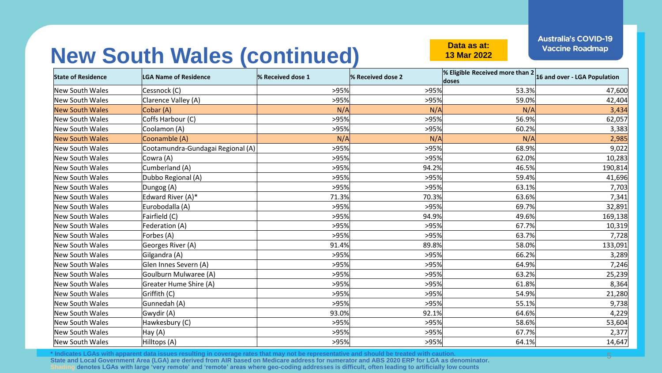**13 Mar 2022**

**Australia's COVID-19 Vaccine Roadmap** 

5

# **New South Wales (continued) Data as at:**

| <b>State of Residence</b> | <b>LGA Name of Residence</b>      | % Received dose 1 | % Received dose 2 | <b>% Eligible Received more than <math>2 16</math> and over - LGA Population</b><br>doses |         |
|---------------------------|-----------------------------------|-------------------|-------------------|-------------------------------------------------------------------------------------------|---------|
| New South Wales           | Cessnock (C)                      | >95%              | >95%              | 53.3%                                                                                     | 47,600  |
| New South Wales           | Clarence Valley (A)               | >95%              | >95%              | 59.0%                                                                                     | 42,404  |
| <b>New South Wales</b>    | Cobar (A)                         | N/A               | N/A               | N/A                                                                                       | 3,434   |
| New South Wales           | Coffs Harbour (C)                 | >95%              | >95%              | 56.9%                                                                                     | 62,057  |
| New South Wales           | Coolamon (A)                      | >95%              | >95%              | 60.2%                                                                                     | 3,383   |
| <b>New South Wales</b>    | Coonamble (A)                     | N/A               | N/A               | N/A                                                                                       | 2,985   |
| New South Wales           | Cootamundra-Gundagai Regional (A) | >95%              | >95%              | 68.9%                                                                                     | 9,022   |
| New South Wales           | Cowra (A)                         | >95%              | >95%              | 62.0%                                                                                     | 10,283  |
| New South Wales           | Cumberland (A)                    | >95%              | 94.2%             | 46.5%                                                                                     | 190,814 |
| New South Wales           | Dubbo Regional (A)                | >95%              | >95%              | 59.4%                                                                                     | 41,696  |
| New South Wales           | Dungog (A)                        | >95%              | >95%              | 63.1%                                                                                     | 7,703   |
| New South Wales           | Edward River (A)*                 | 71.3%             | 70.3%             | 63.6%                                                                                     | 7,341   |
| New South Wales           | Eurobodalla (A)                   | >95%              | >95%              | 69.7%                                                                                     | 32,891  |
| New South Wales           | Fairfield (C)                     | >95%              | 94.9%             | 49.6%                                                                                     | 169,138 |
| New South Wales           | Federation (A)                    | >95%              | >95%              | 67.7%                                                                                     | 10,319  |
| New South Wales           | Forbes (A)                        | >95%              | >95%              | 63.7%                                                                                     | 7,728   |
| New South Wales           | Georges River (A)                 | 91.4%             | 89.8%             | 58.0%                                                                                     | 133,091 |
| New South Wales           | Gilgandra (A)                     | >95%              | >95%              | 66.2%                                                                                     | 3,289   |
| New South Wales           | Glen Innes Severn (A)             | >95%              | >95%              | 64.9%                                                                                     | 7,246   |
| New South Wales           | Goulburn Mulwaree (A)             | >95%              | >95%              | 63.2%                                                                                     | 25,239  |
| New South Wales           | Greater Hume Shire (A)            | >95%              | >95%              | 61.8%                                                                                     | 8,364   |
| New South Wales           | Griffith (C)                      | >95%              | >95%              | 54.9%                                                                                     | 21,280  |
| New South Wales           | Gunnedah (A)                      | >95%              | >95%              | 55.1%                                                                                     | 9,738   |
| New South Wales           | Gwydir (A)                        | 93.0%             | 92.1%             | 64.6%                                                                                     | 4,229   |
| New South Wales           | Hawkesbury (C)                    | >95%              | >95%              | 58.6%                                                                                     | 53,604  |
| New South Wales           | Hay (A)                           | >95%              | >95%              | 67.7%                                                                                     | 2,377   |
| New South Wales           | Hilltops (A)                      | >95%              | >95%              | 64.1%                                                                                     | 14,647  |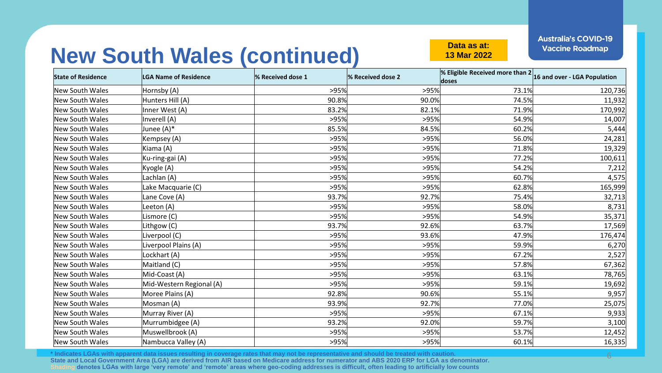6

**13 Mar 2022**

# **New South Wales (continued) Data as at:**

| <b>State of Residence</b> | <b>LGA Name of Residence</b> | % Received dose 1 | % Received dose 2 | <b>% Eligible Received more than <math>2 16</math> and over - LGA Population</b><br>doses |         |
|---------------------------|------------------------------|-------------------|-------------------|-------------------------------------------------------------------------------------------|---------|
| <b>New South Wales</b>    | Hornsby (A)                  | >95%              | >95%              | 73.1%                                                                                     | 120,736 |
| <b>New South Wales</b>    | Hunters Hill (A)             | 90.8%             | 90.0%             | 74.5%                                                                                     | 11,932  |
| <b>New South Wales</b>    | Inner West (A)               | 83.2%             | 82.1%             | 71.9%                                                                                     | 170,992 |
| <b>New South Wales</b>    | Inverell (A)                 | >95%              | >95%              | 54.9%                                                                                     | 14,007  |
| <b>New South Wales</b>    | Junee (A)*                   | 85.5%             | 84.5%             | 60.2%                                                                                     | 5,444   |
| New South Wales           | Kempsey (A)                  | >95%              | >95%              | 56.0%                                                                                     | 24,281  |
| <b>New South Wales</b>    | Kiama (A)                    | >95%              | >95%              | 71.8%                                                                                     | 19,329  |
| <b>New South Wales</b>    | Ku-ring-gai (A)              | >95%              | >95%              | 77.2%                                                                                     | 100,611 |
| New South Wales           | Kyogle (A)                   | >95%              | >95%              | 54.2%                                                                                     | 7,212   |
| <b>New South Wales</b>    | Lachlan (A)                  | >95%              | >95%              | 60.7%                                                                                     | 4,575   |
| <b>New South Wales</b>    | Lake Macquarie (C)           | >95%              | >95%              | 62.8%                                                                                     | 165,999 |
| <b>New South Wales</b>    | Lane Cove (A)                | 93.7%             | 92.7%             | 75.4%                                                                                     | 32,713  |
| <b>New South Wales</b>    | Leeton (A)                   | >95%              | >95%              | 58.0%                                                                                     | 8,731   |
| New South Wales           | Lismore (C)                  | >95%              | >95%              | 54.9%                                                                                     | 35,371  |
| New South Wales           | Lithgow (C)                  | 93.7%             | 92.6%             | 63.7%                                                                                     | 17,569  |
| <b>New South Wales</b>    | Liverpool (C)                | >95%              | 93.6%             | 47.9%                                                                                     | 176,474 |
| New South Wales           | Liverpool Plains (A)         | >95%              | >95%              | 59.9%                                                                                     | 6,270   |
| <b>New South Wales</b>    | Lockhart (A)                 | >95%              | >95%              | 67.2%                                                                                     | 2,527   |
| <b>New South Wales</b>    | Maitland (C)                 | >95%              | >95%              | 57.8%                                                                                     | 67,362  |
| <b>New South Wales</b>    | Mid-Coast (A)                | >95%              | >95%              | 63.1%                                                                                     | 78,765  |
| <b>New South Wales</b>    | Mid-Western Regional (A)     | >95%              | >95%              | 59.1%                                                                                     | 19,692  |
| New South Wales           | Moree Plains (A)             | 92.8%             | 90.6%             | 55.1%                                                                                     | 9,957   |
| New South Wales           | Mosman (A)                   | 93.9%             | 92.7%             | 77.0%                                                                                     | 25,075  |
| <b>New South Wales</b>    | Murray River (A)             | >95%              | >95%              | 67.1%                                                                                     | 9,933   |
| New South Wales           | Murrumbidgee (A)             | 93.2%             | 92.0%             | 59.7%                                                                                     | 3,100   |
| <b>New South Wales</b>    | Muswellbrook (A)             | >95%              | >95%              | 53.7%                                                                                     | 12,452  |
| New South Wales           | Nambucca Valley (A)          | >95%              | >95%              | 60.1%                                                                                     | 16,335  |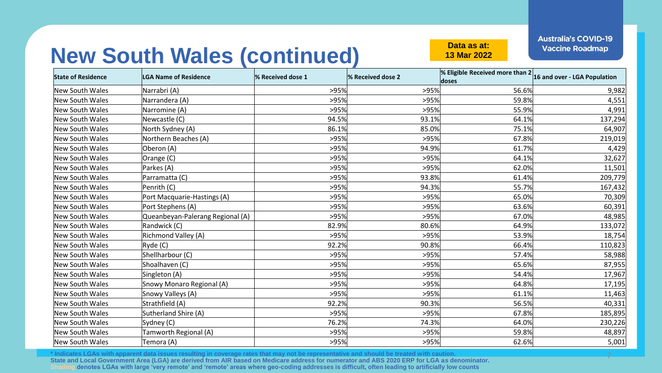7

**13 Mar 2022**

# **New South Wales (continued) Data as at:**

| <b>State of Residence</b> | <b>LGA Name of Residence</b>     | % Received dose 1 | % Received dose 2 | <b>% Eligible Received more than <math>2 16</math> and over - LGA Population</b><br>doses |         |
|---------------------------|----------------------------------|-------------------|-------------------|-------------------------------------------------------------------------------------------|---------|
| New South Wales           | Narrabri (A)                     | >95%              | >95%              | 56.6%                                                                                     | 9,982   |
| New South Wales           | Narrandera (A)                   | >95%              | >95%              | 59.8%                                                                                     | 4,551   |
| New South Wales           | Narromine (A)                    | >95%              | >95%              | 55.9%                                                                                     | 4,991   |
| New South Wales           | Newcastle (C)                    | 94.5%             | 93.1%             | 64.1%                                                                                     | 137,294 |
| New South Wales           | North Sydney (A)                 | 86.1%             | 85.0%             | 75.1%                                                                                     | 64,907  |
| New South Wales           | Northern Beaches (A)             | >95%              | >95%              | 67.8%                                                                                     | 219,019 |
| New South Wales           | Oberon (A)                       | >95%              | 94.9%             | 61.7%                                                                                     | 4,429   |
| <b>New South Wales</b>    | Orange (C)                       | >95%              | >95%              | 64.1%                                                                                     | 32,627  |
| New South Wales           | Parkes (A)                       | >95%              | >95%              | 62.0%                                                                                     | 11,501  |
| New South Wales           | Parramatta (C)                   | >95%              | 93.8%             | 61.4%                                                                                     | 209,779 |
| New South Wales           | Penrith (C)                      | >95%              | 94.3%             | 55.7%                                                                                     | 167,432 |
| <b>New South Wales</b>    | Port Macquarie-Hastings (A)      | >95%              | >95%              | 65.0%                                                                                     | 70,309  |
| New South Wales           | Port Stephens (A)                | >95%              | >95%              | 63.6%                                                                                     | 60,391  |
| New South Wales           | Queanbeyan-Palerang Regional (A) | >95%              | >95%              | 67.0%                                                                                     | 48,985  |
| New South Wales           | Randwick (C)                     | 82.9%             | 80.6%             | 64.9%                                                                                     | 133,072 |
| New South Wales           | Richmond Valley (A)              | >95%              | >95%              | 53.9%                                                                                     | 18,754  |
| New South Wales           | Ryde (C)                         | 92.2%             | 90.8%             | 66.4%                                                                                     | 110,823 |
| New South Wales           | Shellharbour (C)                 | >95%              | >95%              | 57.4%                                                                                     | 58,988  |
| New South Wales           | Shoalhaven (C)                   | >95%              | >95%              | 65.6%                                                                                     | 87,955  |
| <b>New South Wales</b>    | Singleton (A)                    | >95%              | >95%              | 54.4%                                                                                     | 17,967  |
| New South Wales           | Snowy Monaro Regional (A)        | >95%              | >95%              | 64.8%                                                                                     | 17,195  |
| New South Wales           | Snowy Valleys (A)                | >95%              | >95%              | 61.1%                                                                                     | 11,463  |
| New South Wales           | Strathfield (A)                  | 92.2%             | 90.3%             | 56.5%                                                                                     | 40,331  |
| <b>New South Wales</b>    | Sutherland Shire (A)             | >95%              | >95%              | 67.8%                                                                                     | 185,895 |
| New South Wales           | Sydney (C)                       | 76.2%             | 74.3%             | 64.0%                                                                                     | 230,226 |
| New South Wales           | Tamworth Regional (A)            | >95%              | >95%              | 59.8%                                                                                     | 48,897  |
| New South Wales           | Temora (A)                       | >95%              | >95%              | 62.6%                                                                                     | 5,001   |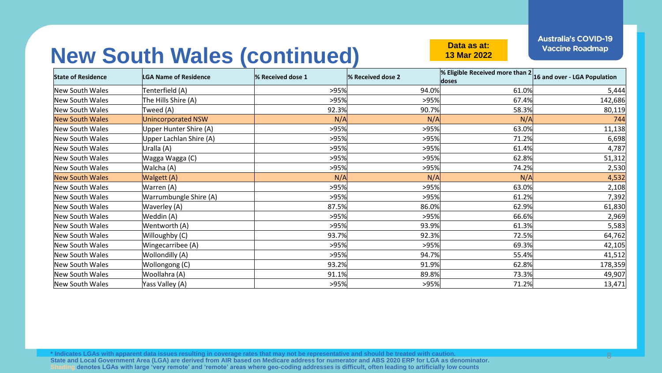8

**13 Mar 2022**

# **New South Wales (continued) Data as at:**

| <b>State of Residence</b> | <b>LGA Name of Residence</b> | % Received dose 1 | % Received dose 2 | <b>% Eligible Received more than <math>2 16</math> and over - LGA Population</b><br>doses |         |
|---------------------------|------------------------------|-------------------|-------------------|-------------------------------------------------------------------------------------------|---------|
| New South Wales           | Tenterfield (A)              | >95%              | 94.0%             | 61.0%                                                                                     | 5,444   |
| New South Wales           | The Hills Shire (A)          | >95%              | >95%              | 67.4%                                                                                     | 142,686 |
| New South Wales           | Tweed (A)                    | 92.3%             | 90.7%             | 58.3%                                                                                     | 80,119  |
| <b>New South Wales</b>    | <b>Unincorporated NSW</b>    | N/A               | N/A               | N/A                                                                                       | 744     |
| New South Wales           | Upper Hunter Shire (A)       | >95%              | >95%              | 63.0%                                                                                     | 11,138  |
| New South Wales           | Upper Lachlan Shire (A)      | >95%              | >95%              | 71.2%                                                                                     | 6,698   |
| New South Wales           | Uralla (A)                   | >95%              | >95%              | 61.4%                                                                                     | 4,787   |
| New South Wales           | Wagga Wagga (C)              | >95%              | >95%              | 62.8%                                                                                     | 51,312  |
| New South Wales           | Walcha (A)                   | >95%              | >95%              | 74.2%                                                                                     | 2,530   |
| <b>New South Wales</b>    | Walgett (A)                  | N/A               | N/A               | N/A                                                                                       | 4,532   |
| New South Wales           | Warren (A)                   | >95%              | >95%              | 63.0%                                                                                     | 2,108   |
| New South Wales           | Warrumbungle Shire (A)       | >95%              | >95%              | 61.2%                                                                                     | 7,392   |
| New South Wales           | Waverley (A)                 | 87.5%             | 86.0%             | 62.9%                                                                                     | 61,830  |
| New South Wales           | Weddin (A)                   | >95%              | >95%              | 66.6%                                                                                     | 2,969   |
| New South Wales           | Wentworth (A)                | >95%              | 93.9%             | 61.3%                                                                                     | 5,583   |
| New South Wales           | Willoughby (C)               | 93.7%             | 92.3%             | 72.5%                                                                                     | 64,762  |
| New South Wales           | Wingecarribee (A)            | >95%              | >95%              | 69.3%                                                                                     | 42,105  |
| New South Wales           | Wollondilly (A)              | >95%              | 94.7%             | 55.4%                                                                                     | 41,512  |
| New South Wales           | Wollongong (C)               | 93.2%             | 91.9%             | 62.8%                                                                                     | 178,359 |
| New South Wales           | Woollahra (A)                | 91.1%             | 89.8%             | 73.3%                                                                                     | 49,907  |
| New South Wales           | Yass Valley (A)              | >95%              | >95%              | 71.2%                                                                                     | 13,471  |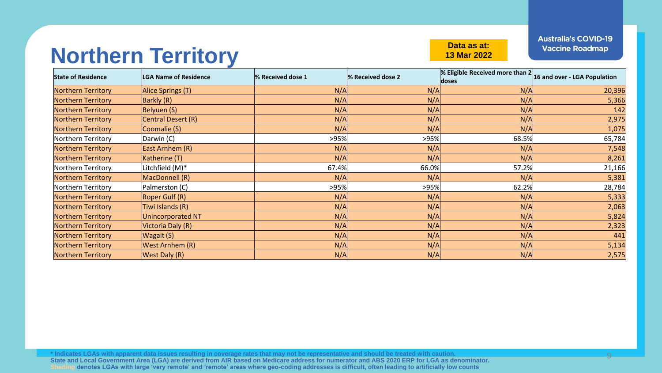#### **Northern Territory Data as at:**

**13 Mar 2022**

**Australia's COVID-19 Vaccine Roadmap** 

| <b>State of Residence</b> | <b>LGA Name of Residence</b> | % Received dose 1 | % Received dose 2 | <b>% Eligible Received more than 2</b> 16 and over - LGA Population<br>doses |        |
|---------------------------|------------------------------|-------------------|-------------------|------------------------------------------------------------------------------|--------|
| <b>Northern Territory</b> | Alice Springs (T)            | N/A               | N/A               | N/A                                                                          | 20,396 |
| Northern Territory        | Barkly (R)                   | N/A               | N/A               | N/A                                                                          | 5,366  |
| Northern Territory        | Belyuen (S)                  | N/A               | N/A               | N/A                                                                          | 142    |
| <b>Northern Territory</b> | Central Desert (R)           | N/A               | N/A               | N/A                                                                          | 2,975  |
| <b>Northern Territory</b> | Coomalie (S)                 | N/A               | N/A               | N/A                                                                          | 1,075  |
| Northern Territory        | Darwin (C)                   | >95%              | >95%              | 68.5%                                                                        | 65,784 |
| Northern Territory        | East Arnhem (R)              | N/A               | N/A               | N/A                                                                          | 7,548  |
| <b>Northern Territory</b> | Katherine (T)                | N/A               | N/A               | N/A                                                                          | 8,261  |
| Northern Territory        | Litchfield (M)*              | 67.4%             | 66.0%             | 57.2%                                                                        | 21,166 |
| Northern Territory        | MacDonnell (R)               | N/A               | N/A               | N/A                                                                          | 5,381  |
| Northern Territory        | Palmerston (C)               | >95%              | >95%              | 62.2%                                                                        | 28,784 |
| Northern Territory        | Roper Gulf (R)               | N/A               | N/A               | N/A                                                                          | 5,333  |
| <b>Northern Territory</b> | Tiwi Islands (R)             | N/A               | N/A               | N/A                                                                          | 2,063  |
| Northern Territory        | <b>Unincorporated NT</b>     | N/A               | N/A               | N/A                                                                          | 5,824  |
| Northern Territory        | Victoria Daly (R)            | N/A               | N/A               | N/A                                                                          | 2,323  |
| <b>Northern Territory</b> | Wagait (S)                   | N/A               | N/A               | N/A                                                                          | 441    |
| Northern Territory        | <b>West Arnhem (R)</b>       | N/A               | N/A               | N/A                                                                          | 5,134  |
| <b>Northern Territory</b> | <b>West Daly (R)</b>         | N/A               | N/A               | N/A                                                                          | 2,575  |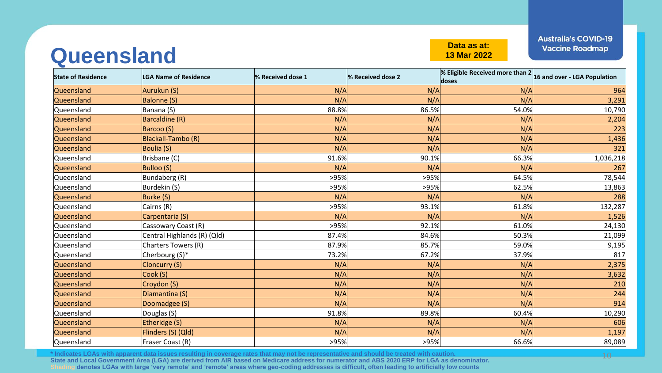#### **Queensland Data as at:**

**13 Mar 2022**

10

| <b>State of Residence</b> | <b>LGA Name of Residence</b> | % Received dose 1 | % Received dose 2 | % Eligible Received more than $2 _{16}$ and over - LGA Population<br>doses |           |
|---------------------------|------------------------------|-------------------|-------------------|----------------------------------------------------------------------------|-----------|
| Queensland                | Aurukun (S)                  | N/A               | N/A               | N/A                                                                        | 964       |
| Queensland                | <b>Balonne (S)</b>           | N/A               | N/A               | N/A                                                                        | 3,291     |
| Queensland                | Banana (S)                   | 88.8%             | 86.5%             | 54.0%                                                                      | 10,790    |
| Queensland                | Barcaldine (R)               | N/A               | N/A               | N/A                                                                        | 2,204     |
| Queensland                | Barcoo (S)                   | N/A               | N/A               | N/A                                                                        | 223       |
| Queensland                | <b>Blackall-Tambo (R)</b>    | N/A               | N/A               | N/A                                                                        | 1,436     |
| Queensland                | Boulia (S)                   | N/A               | N/A               | N/A                                                                        | 321       |
| Queensland                | Brisbane (C)                 | 91.6%             | 90.1%             | 66.3%                                                                      | 1,036,218 |
| Queensland                | <b>Bulloo (S)</b>            | N/A               | N/A               | N/A                                                                        | 267       |
| Queensland                | Bundaberg (R)                | >95%              | >95%              | 64.5%                                                                      | 78,544    |
| Queensland                | Burdekin (S)                 | >95%              | >95%              | 62.5%                                                                      | 13,863    |
| Queensland                | Burke (S)                    | N/A               | N/A               | N/A                                                                        | 288       |
| Queensland                | Cairns (R)                   | >95%              | 93.1%             | 61.8%                                                                      | 132,287   |
| Queensland                | Carpentaria (S)              | N/A               | N/A               | N/A                                                                        | 1,526     |
| Queensland                | Cassowary Coast (R)          | >95%              | 92.1%             | 61.0%                                                                      | 24,130    |
| Queensland                | Central Highlands (R) (Qld)  | 87.4%             | 84.6%             | 50.3%                                                                      | 21,099    |
| Queensland                | Charters Towers (R)          | 87.9%             | 85.7%             | 59.0%                                                                      | 9,195     |
| Queensland                | Cherbourg (S)*               | 73.2%             | 67.2%             | 37.9%                                                                      | 817       |
| Queensland                | <b>Cloncurry (S)</b>         | N/A               | N/A               | N/A                                                                        | 2,375     |
| Queensland                | Cook (S)                     | N/A               | N/A               | N/A                                                                        | 3,632     |
| Queensland                | Croydon (S)                  | N/A               | N/A               | N/A                                                                        | 210       |
| Queensland                | Diamantina (S)               | N/A               | N/A               | N/A                                                                        | 244       |
| Queensland                | Doomadgee (S)                | N/A               | N/A               | N/A                                                                        | 914       |
| Queensland                | Douglas (S)                  | 91.8%             | 89.8%             | 60.4%                                                                      | 10,290    |
| Queensland                | Etheridge (S)                | N/A               | N/A               | N/A                                                                        | 606       |
| Queensland                | Flinders (S) (Qld)           | N/A               | N/A               | N/A                                                                        | 1,197     |
| Queensland                | Fraser Coast (R)             | >95%              | >95%              | 66.6%                                                                      | 89,089    |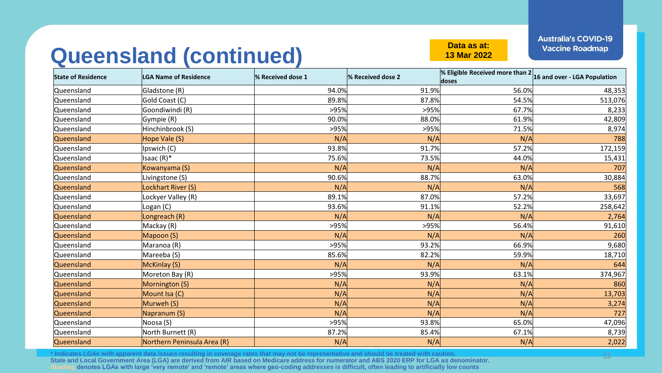#### **Queensland (continued) Data as at:**

**13 Mar 2022**

**Australia's COVID-19 Vaccine Roadmap** 

11

| <b>State of Residence</b> | <b>LGA Name of Residence</b> | % Received dose 1 | % Received dose 2 | $\frac{1}{2}$ Eligible Received more than $2\frac{1}{16}$ and over - LGA Population<br>doses |         |
|---------------------------|------------------------------|-------------------|-------------------|----------------------------------------------------------------------------------------------|---------|
| Queensland                | Gladstone (R)                | 94.0%             | 91.9%             | 56.0%                                                                                        | 48,353  |
| Queensland                | Gold Coast (C)               | 89.8%             | 87.8%             | 54.5%                                                                                        | 513,076 |
| Queensland                | Goondiwindi (R)              | >95%              | >95%              | 67.7%                                                                                        | 8,233   |
| Queensland                | Gympie (R)                   | 90.0%             | 88.0%             | 61.9%                                                                                        | 42,809  |
| Queensland                | Hinchinbrook (S)             | >95%              | >95%              | 71.5%                                                                                        | 8,974   |
| Queensland                | Hope Vale (S)                | N/A               | N/A               | N/A                                                                                          | 788     |
| Queensland                | Ipswich (C)                  | 93.8%             | 91.7%             | 57.2%                                                                                        | 172,159 |
| Queensland                | Isaac $(R)^*$                | 75.6%             | 73.5%             | 44.0%                                                                                        | 15,431  |
| Queensland                | Kowanyama (S)                | N/A               | N/A               | N/A                                                                                          | 707     |
| Queensland                | Livingstone (S)              | 90.6%             | 88.7%             | 63.0%                                                                                        | 30,884  |
| Queensland                | Lockhart River (S)           | N/A               | N/A               | N/A                                                                                          | 568     |
| Queensland                | Lockyer Valley (R)           | 89.1%             | 87.0%             | 57.2%                                                                                        | 33,697  |
| Queensland                | Logan (C)                    | 93.6%             | 91.1%             | 52.2%                                                                                        | 258,642 |
| Queensland                | Longreach (R)                | N/A               | N/A               | N/A                                                                                          | 2,764   |
| Queensland                | Mackay (R)                   | >95%              | >95%              | 56.4%                                                                                        | 91,610  |
| Queensland                | Mapoon (S)                   | N/A               | N/A               | N/A                                                                                          | 260     |
| Queensland                | Maranoa (R)                  | >95%              | 93.2%             | 66.9%                                                                                        | 9,680   |
| Queensland                | Mareeba (S)                  | 85.6%             | 82.2%             | 59.9%                                                                                        | 18,710  |
| Queensland                | McKinlay (S)                 | N/A               | N/A               | N/A                                                                                          | 644     |
| Queensland                | Moreton Bay (R)              | >95%              | 93.9%             | 63.1%                                                                                        | 374,967 |
| Queensland                | Mornington (S)               | N/A               | N/A               | N/A                                                                                          | 860     |
| Queensland                | Mount Isa (C)                | N/A               | N/A               | N/A                                                                                          | 13,703  |
| Queensland                | Murweh (S)                   | N/A               | N/A               | N/A                                                                                          | 3,274   |
| Queensland                | Napranum (S)                 | N/A               | N/A               | N/A                                                                                          | 727     |
| Queensland                | Noosa (S)                    | >95%              | 93.8%             | 65.0%                                                                                        | 47,096  |
| Queensland                | North Burnett (R)            | 87.2%             | 85.4%             | 67.1%                                                                                        | 8,739   |
| Queensland                | Northern Peninsula Area (R)  | N/A               | N/A               | N/A                                                                                          | 2,022   |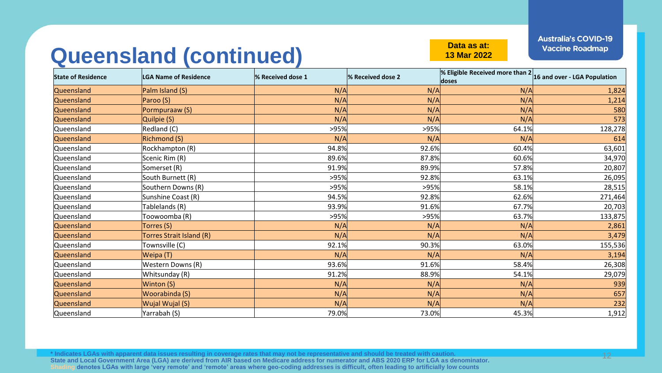#### **Queensland (continued) Data as at:**

**13 Mar 2022**

**Australia's COVID-19 Vaccine Roadmap** 

| <b>State of Residence</b> | <b>LGA Name of Residence</b> | % Received dose 1 | % Received dose 2 | $\frac{1}{2}$ Eligible Received more than $2\frac{1}{16}$ and over - LGA Population<br>doses |         |
|---------------------------|------------------------------|-------------------|-------------------|----------------------------------------------------------------------------------------------|---------|
| Queensland                | Palm Island (S)              | N/A               | N/A               | N/A                                                                                          | 1,824   |
| Queensland                | Paroo (S)                    | N/A               | N/A               | N/A                                                                                          | 1,214   |
| Queensland                | Pormpuraaw (S)               | N/A               | N/A               | N/A                                                                                          | 580     |
| Queensland                | Quilpie (S)                  | N/A               | N/A               | N/A                                                                                          | 573     |
| Queensland                | Redland (C)                  | >95%              | >95%              | 64.1%                                                                                        | 128,278 |
| Queensland                | <b>Richmond (S)</b>          | N/A               | N/A               | N/A                                                                                          | 614     |
| Queensland                | Rockhampton (R)              | 94.8%             | 92.6%             | 60.4%                                                                                        | 63,601  |
| Queensland                | Scenic Rim (R)               | 89.6%             | 87.8%             | 60.6%                                                                                        | 34,970  |
| Queensland                | Somerset (R)                 | 91.9%             | 89.9%             | 57.8%                                                                                        | 20,807  |
| Queensland                | South Burnett (R)            | >95%              | 92.8%             | 63.1%                                                                                        | 26,095  |
| Queensland                | Southern Downs (R)           | >95%              | >95%              | 58.1%                                                                                        | 28,515  |
| Queensland                | Sunshine Coast (R)           | 94.5%             | 92.8%             | 62.6%                                                                                        | 271,464 |
| Queensland                | Tablelands (R)               | 93.9%             | 91.6%             | 67.7%                                                                                        | 20,703  |
| Queensland                | Toowoomba (R)                | >95%              | >95%              | 63.7%                                                                                        | 133,875 |
| Queensland                | Torres (S)                   | N/A               | N/A               | N/A                                                                                          | 2,861   |
| Queensland                | Torres Strait Island (R)     | N/A               | N/A               | N/A                                                                                          | 3,479   |
| Queensland                | Townsville (C)               | 92.1%             | 90.3%             | 63.0%                                                                                        | 155,536 |
| Queensland                | Weipa (T)                    | N/A               | N/A               | N/A                                                                                          | 3,194   |
| Queensland                | Western Downs (R)            | 93.6%             | 91.6%             | 58.4%                                                                                        | 26,308  |
| Queensland                | Whitsunday (R)               | 91.2%             | 88.9%             | 54.1%                                                                                        | 29,079  |
| Queensland                | Winton (S)                   | N/A               | N/A               | N/A                                                                                          | 939     |
| Queensland                | Woorabinda (S)               | N/A               | N/A               | N/A                                                                                          | 657     |
| Queensland                | Wujal Wujal (S)              | N/A               | N/A               | N/A                                                                                          | 232     |
| Queensland                | Yarrabah (S)                 | 79.0%             | 73.0%             | 45.3%                                                                                        | 1,912   |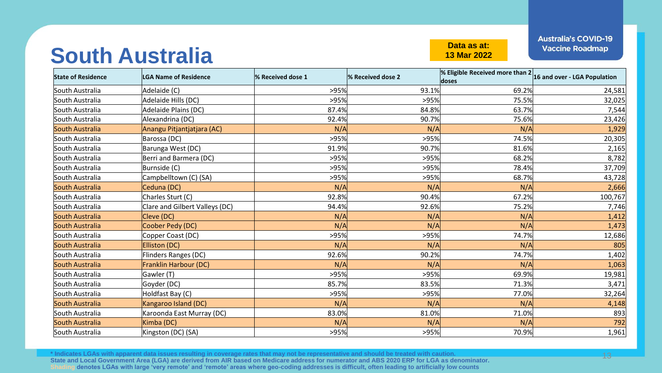#### **South Australia Couth Australia**

**13 Mar 2022**

**Australia's COVID-19 Vaccine Roadmap** 

| <b>State of Residence</b> | LGA Name of Residence          | % Received dose 1 | % Received dose 2 | % Eligible Received more than $2 16$ and over - LGA Population<br>doses |         |
|---------------------------|--------------------------------|-------------------|-------------------|-------------------------------------------------------------------------|---------|
| South Australia           | Adelaide (C)                   | >95%              | 93.1%             | 69.2%                                                                   | 24,581  |
| South Australia           | Adelaide Hills (DC)            | >95%              | >95%              | 75.5%                                                                   | 32,025  |
| South Australia           | Adelaide Plains (DC)           | 87.4%             | 84.8%             | 63.7%                                                                   | 7,544   |
| South Australia           | Alexandrina (DC)               | 92.4%             | 90.7%             | 75.6%                                                                   | 23,426  |
| South Australia           | Anangu Pitjantjatjara (AC)     | N/A               | N/A               | N/A                                                                     | 1,929   |
| South Australia           | Barossa (DC)                   | >95%              | >95%              | 74.5%                                                                   | 20,305  |
| South Australia           | Barunga West (DC)              | 91.9%             | 90.7%             | 81.6%                                                                   | 2,165   |
| South Australia           | Berri and Barmera (DC)         | >95%              | >95%              | 68.2%                                                                   | 8,782   |
| South Australia           | Burnside (C)                   | >95%              | >95%              | 78.4%                                                                   | 37,709  |
| South Australia           | Campbelltown (C) (SA)          | >95%              | >95%              | 68.7%                                                                   | 43,728  |
| South Australia           | Ceduna (DC)                    | N/A               | N/A               | N/A                                                                     | 2,666   |
| South Australia           | Charles Sturt (C)              | 92.8%             | 90.4%             | 67.2%                                                                   | 100,767 |
| South Australia           | Clare and Gilbert Valleys (DC) | 94.4%             | 92.6%             | 75.2%                                                                   | 7,746   |
| South Australia           | Cleve (DC)                     | N/A               | N/A               | N/A                                                                     | 1,412   |
| South Australia           | Coober Pedy (DC)               | N/A               | N/A               | N/A                                                                     | 1,473   |
| South Australia           | Copper Coast (DC)              | >95%              | >95%              | 74.7%                                                                   | 12,686  |
| South Australia           | Elliston (DC)                  | N/A               | N/A               | N/A                                                                     | 805     |
| South Australia           | Flinders Ranges (DC)           | 92.6%             | 90.2%             | 74.7%                                                                   | 1,402   |
| South Australia           | Franklin Harbour (DC)          | N/A               | N/A               | N/A                                                                     | 1,063   |
| South Australia           | Gawler (T)                     | >95%              | >95%              | 69.9%                                                                   | 19,981  |
| South Australia           | Goyder (DC)                    | 85.7%             | 83.5%             | 71.3%                                                                   | 3,471   |
| South Australia           | Holdfast Bay (C)               | >95%              | >95%              | 77.0%                                                                   | 32,264  |
| South Australia           | Kangaroo Island (DC)           | N/A               | N/A               | N/A                                                                     | 4,148   |
| South Australia           | Karoonda East Murray (DC)      | 83.0%             | 81.0%             | 71.0%                                                                   | 893     |
| South Australia           | Kimba (DC)                     | N/A               | N/A               | N/A                                                                     | 792     |
| South Australia           | Kingston (DC) (SA)             | >95%              | >95%              | 70.9%                                                                   | 1,961   |

**\* Indicates LGAs with apparent data issues resulting in coverage rates that may not be representative and should be treated with caution. State and Local Government Area (LGA) are derived from AIR based on Medicare address for numerator and ABS 2020 ERP for LGA as denominator. Shading denotes LGAs with large 'very remote' and 'remote' areas where geo-coding addresses is difficult, often leading to artificially low counts**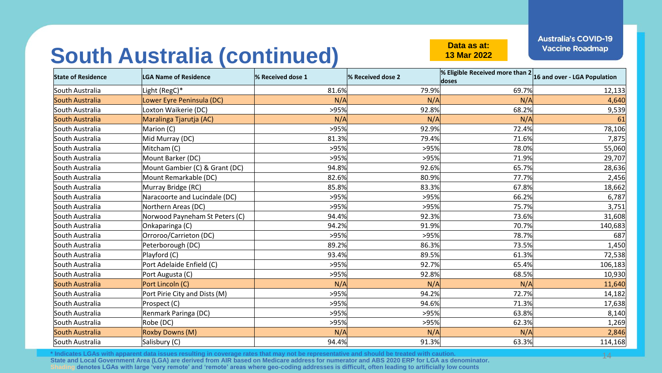**13 Mar 2022**

#### **South Australia (continued) Data as at:**

**State of Residence LGA Name of Residence % Received dose 1 % Received dose 2 % Eligible Received more than 2 doses 16 and over - LGA Population** South Australia |Light (RegC)\* 81.6% 79.9% 69.7% 12,133 South Australia Lower Eyre Peninsula (DC) N/A N/A N/A 4,640 South Australia |Loxton Waikerie (DC) >95%| 92.8%| 68.2%| 9,539 South Australia Maralinga Tjarutja (AC) (1999) (AC) N/A N/A N/A N/A N/A N/A N/A N/A N/A 1999) (AC) (1999) (AC) South Australia |Marion (C) >95% 92.9% 72.4% 78,106 South Australia 81.3% 79.4% 71.6% 7,875 South Australia Mitcham (C) >95% >95% 78.0% 55,060 South Australia |Mount Barker (DC) >95% 29,707 South Australia Mount Gambier (C) & Grant (DC) 94.8% 92.6% 65.7% 28,636 South Australia Mount Remarkable (DC) | 82.6% 82.6% 80.9% 80.9% 77.7% 77.7% 2,456 South Australia Murray Bridge (RC) 85.8% 83.3% 67.8% 18,662 South Australia Naracoorte and Lucindale (DC) >95% >95% 66.2% 6,787 South Australia |Northern Areas (DC) >95% 3,751 South Australia Norwood Payneham St Peters (C) 94.4% 92.3% 73.6% 31,608 South Australia |Onkaparinga (C) 94.2%| 91.9%| 70.7%| 140,683 South Australia |Orroroo/Carrieton (DC) >95%| 78.7%| 687 South Australia |Peterborough (DC) 89.2% 86.3% 73.5% 1,450 South Australia |Playford (C) 93.4%| 89.5%| 61.3%| 72,538  $\left| \text{South Australia} \right|$   $\left| \text{Port Adelaide Enfield (C)} \right|$   $\left| \text{OPT} \right|$   $\left| \text{OPT} \right|$   $\left| \text{OPT} \right|$   $\left| \text{OPT} \right|$   $\left| \text{OPT} \right|$   $\left| \text{OPT} \right|$   $\left| \text{OPT} \right|$   $\left| \text{OPT} \right|$   $\left| \text{OPT} \right|$   $\left| \text{OPT} \right|$   $\left| \text{OPT} \right|$   $\left| \text{OPT} \right|$   $\left| \text{OPT} \right|$   $\left| \$ South Australia |Port Augusta (C) >95% 92.8% 68.5% 10,930 South Australia Port Lincoln (C) N/A N/A N/A 11,640 South Australia **1.2.2% Port Pirie City and Dists (M)** 14,182 **95% 94.2% 94.2% 14,182** South Australia |Prospect (C) 94.6%| 71.3%| 17,638 South Australia Renmark Paringa (DC) >95% >95% 63.8% 8,140 South Australia Robe (DC) >95% >95% 62.3% 1,269 South Australia Roxby Downs (M) N/A N/A N/A 2,846 South Australia |Salisbury (C) 94.4% 91.3% 63.3% 114,168

**\* Indicates LGAs with apparent data issues resulting in coverage rates that may not be representative and should be treated with caution. State and Local Government Area (LGA) are derived from AIR based on Medicare address for numerator and ABS 2020 ERP for LGA as denominator. Shading denotes LGAs with large 'very remote' and 'remote' areas where geo-coding addresses is difficult, often leading to artificially low counts**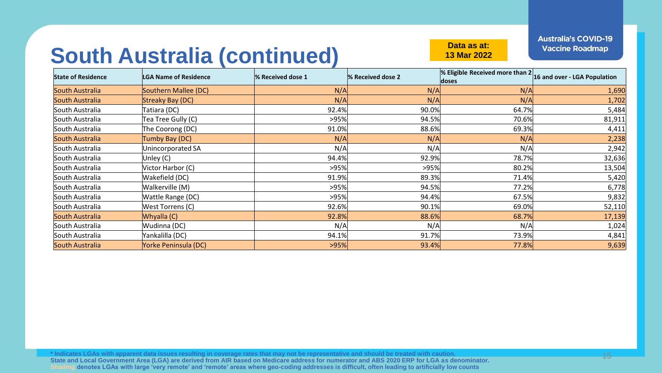**13 Mar 2022**

#### **South Australia (continued) Data as at:**

**State of Residence LGA Name of Residence % Received dose 1 % Received dose 2 % Eligible Received more than 2**  *Leage SE Eigible Received more than 2* 16 and over - LGA Population South Australia <mark>Southern Mallee (DC) N/A</mark> N/A 1,690 South Australia <mark>Streaky Bay (DC) N/A</mark> 1,702 South Australia |Tatiara (DC) 92.4% 90.0% 64.7% 5,484 South Australia Tea Tree Gully (C) >95% 94.5% 70.6% 81,911 South Australia |The Coorong (DC) 91.0% 88.6% 69.3% 4,411 South Australia Tumby Bay (DC) N/A N/A N/A 2,238 South Australia Unincorporated SA N/A N/A N/A 2,942 South Australia 94.4% 92.9% 78.7% 32,636 South Australia Victor Harbor (C) >95% >95% 80.2% 13,504 South Australia |Wakefield (DC) 91.9%| 89.3%| 71.4%| 5,420 South Australia Walkerville (M) >95% 94.5% 77.2% 6,778 South Australia |Wattle Range (DC) >95% 94.4% 9,832 South Australia |West Torrens (C) 92.6%| 90.1%| 52,110 South Australia <mark>Whyalla (C) 92.8%</mark> 88.6% 68.7% 17,139 South Australia Wudinna (DC) N/A N/A N/A 1,024 South Australia |Yankalilla (DC) 94.1%| 91.7%| 73.9%| 4,841 South Australia <mark>Yorke Peninsula (DC)</mark> 93.4% 77.8% 9,639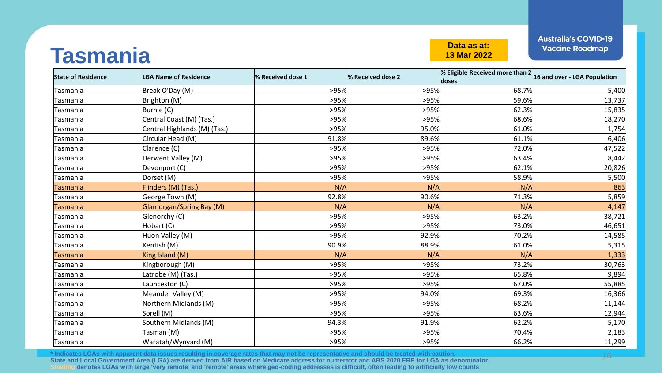#### **Tasmania Data as at:**

**13 Mar 2022**

**Australia's COVID-19 Vaccine Roadmap** 

| <b>State of Residence</b> | <b>LGA Name of Residence</b>    | % Received dose 1 | % Received dose 2 | % Eligible Received more than $2 _{16}$ and over - LGA Population<br>doses |        |
|---------------------------|---------------------------------|-------------------|-------------------|----------------------------------------------------------------------------|--------|
| Tasmania                  | Break O'Day (M)                 | >95%              | >95%              | 68.7%                                                                      | 5,400  |
| Tasmania                  | Brighton (M)                    | >95%              | >95%              | 59.6%                                                                      | 13,737 |
| Tasmania                  | Burnie (C)                      | >95%              | >95%              | 62.3%                                                                      | 15,835 |
| Tasmania                  | Central Coast (M) (Tas.)        | >95%              | >95%              | 68.6%                                                                      | 18,270 |
| Tasmania                  | Central Highlands (M) (Tas.)    | >95%              | 95.0%             | 61.0%                                                                      | 1,754  |
| Tasmania                  | Circular Head (M)               | 91.8%             | 89.6%             | 61.1%                                                                      | 6,406  |
| Tasmania                  | Clarence (C)                    | >95%              | >95%              | 72.0%                                                                      | 47,522 |
| Tasmania                  | Derwent Valley (M)              | >95%              | >95%              | 63.4%                                                                      | 8,442  |
| Tasmania                  | Devonport (C)                   | >95%              | >95%              | 62.1%                                                                      | 20,826 |
| Tasmania                  | Dorset (M)                      | >95%              | >95%              | 58.9%                                                                      | 5,500  |
| Tasmania                  | Flinders (M) (Tas.)             | N/A               | N/A               | N/A                                                                        | 863    |
| Tasmania                  | George Town (M)                 | 92.8%             | 90.6%             | 71.3%                                                                      | 5,859  |
| Tasmania                  | <b>Glamorgan/Spring Bay (M)</b> | N/A               | N/A               | N/A                                                                        | 4,147  |
| Tasmania                  | Glenorchy (C)                   | >95%              | >95%              | 63.2%                                                                      | 38,721 |
| Tasmania                  | Hobart (C)                      | >95%              | >95%              | 73.0%                                                                      | 46,651 |
| Tasmania                  | Huon Valley (M)                 | >95%              | 92.9%             | 70.2%                                                                      | 14,585 |
| Tasmania                  | Kentish (M)                     | 90.9%             | 88.9%             | 61.0%                                                                      | 5,315  |
| Tasmania                  | King Island (M)                 | N/A               | N/A               | N/A                                                                        | 1,333  |
| Tasmania                  | Kingborough (M)                 | >95%              | >95%              | 73.2%                                                                      | 30,763 |
| Tasmania                  | Latrobe (M) (Tas.)              | >95%              | >95%              | 65.8%                                                                      | 9,894  |
| Tasmania                  | Launceston (C)                  | >95%              | >95%              | 67.0%                                                                      | 55,885 |
| Tasmania                  | Meander Valley (M)              | >95%              | 94.0%             | 69.3%                                                                      | 16,366 |
| Tasmania                  | Northern Midlands (M)           | >95%              | >95%              | 68.2%                                                                      | 11,144 |
| Tasmania                  | Sorell (M)                      | >95%              | >95%              | 63.6%                                                                      | 12,944 |
| Tasmania                  | Southern Midlands (M)           | 94.3%             | 91.9%             | 62.2%                                                                      | 5,170  |
| Tasmania                  | Tasman (M)                      | >95%              | >95%              | 70.4%                                                                      | 2,183  |
| Tasmania                  | Waratah/Wynyard (M)             | >95%              | >95%              | 66.2%                                                                      | 11,299 |

**\* Indicates LGAs with apparent data issues resulting in coverage rates that may not be representative and should be treated with caution. State and Local Government Area (LGA) are derived from AIR based on Medicare address for numerator and ABS 2020 ERP for LGA as denominator. Shading denotes LGAs with large 'very remote' and 'remote' areas where geo-coding addresses is difficult, often leading to artificially low counts**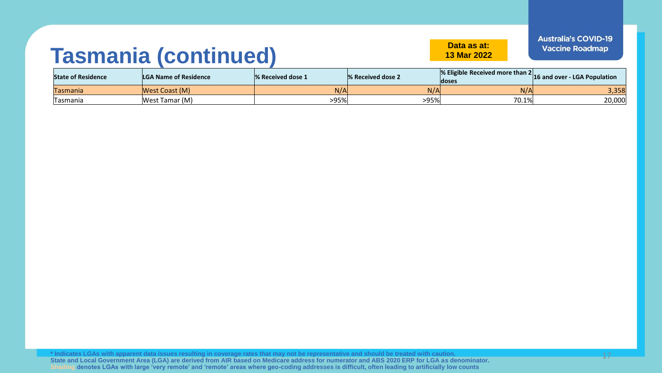#### **Tasmania (continued) Data as at:**

**13 Mar 2022**

| <b>State of Residence</b> | <b>LGA Name of Residence</b> | <b>1% Received dose 1</b> | <b>8 % Received dose 2</b> | $\%$ Eligible Received more than 2 $\vert$ 16 and over - LGA Population<br>ldoses |        |
|---------------------------|------------------------------|---------------------------|----------------------------|-----------------------------------------------------------------------------------|--------|
| Tasmania                  | West Coast (M)               | N/A                       | N/A                        | N/A                                                                               | 3,358  |
| Tasmania                  | West Tamar (M)               | >95%                      | >95%                       | 70.1%                                                                             | 20,000 |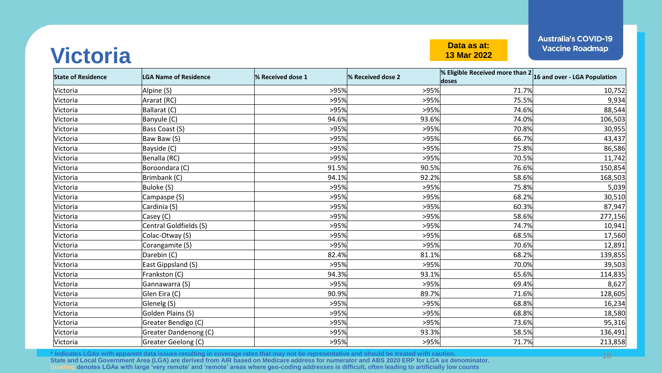#### **Victoria Data as at:**<br> **Data as at:**<br> **Data as at:**<br> **Data as at:**<br> **Data as at:**

**13 Mar 2022**

**Australia's COVID-19 Vaccine Roadmap** 

| <b>State of Residence</b> | <b>LGA Name of Residence</b> | % Received dose 1 | % Received dose 2 | % Eligible Received more than $2 _{16}$ and over - LGA Population<br>doses |         |
|---------------------------|------------------------------|-------------------|-------------------|----------------------------------------------------------------------------|---------|
| Victoria                  | Alpine (S)                   | >95%              | >95%              | 71.7%                                                                      | 10,752  |
| Victoria                  | Ararat (RC)                  | >95%              | >95%              | 75.5%                                                                      | 9,934   |
| Victoria                  | Ballarat (C)                 | >95%              | >95%              | 74.6%                                                                      | 88,544  |
| Victoria                  | Banyule (C)                  | 94.6%             | 93.6%             | 74.0%                                                                      | 106,503 |
| Victoria                  | Bass Coast (S)               | >95%              | >95%              | 70.8%                                                                      | 30,955  |
| Victoria                  | Baw Baw (S)                  | >95%              | >95%              | 66.7%                                                                      | 43,437  |
| Victoria                  | Bayside (C)                  | >95%              | >95%              | 75.8%                                                                      | 86,586  |
| Victoria                  | Benalla (RC)                 | >95%              | >95%              | 70.5%                                                                      | 11,742  |
| Victoria                  | Boroondara (C)               | 91.5%             | 90.5%             | 76.6%                                                                      | 150,854 |
| Victoria                  | Brimbank (C)                 | 94.1%             | 92.2%             | 58.6%                                                                      | 168,503 |
| Victoria                  | Buloke (S)                   | >95%              | >95%              | 75.8%                                                                      | 5,039   |
| Victoria                  | Campaspe (S)                 | >95%              | >95%              | 68.2%                                                                      | 30,510  |
| Victoria                  | Cardinia (S)                 | >95%              | >95%              | 60.3%                                                                      | 87,947  |
| Victoria                  | Casey (C)                    | >95%              | >95%              | 58.6%                                                                      | 277,156 |
| Victoria                  | Central Goldfields (S)       | >95%              | >95%              | 74.7%                                                                      | 10,941  |
| Victoria                  | Colac-Otway (S)              | >95%              | >95%              | 68.5%                                                                      | 17,560  |
| Victoria                  | Corangamite (S)              | >95%              | >95%              | 70.6%                                                                      | 12,891  |
| Victoria                  | Darebin (C)                  | 82.4%             | 81.1%             | 68.2%                                                                      | 139,855 |
| Victoria                  | East Gippsland (S)           | >95%              | >95%              | 70.0%                                                                      | 39,503  |
| Victoria                  | Frankston (C)                | 94.3%             | 93.1%             | 65.6%                                                                      | 114,835 |
| Victoria                  | Gannawarra (S)               | >95%              | >95%              | 69.4%                                                                      | 8,627   |
| Victoria                  | Glen Eira (C)                | 90.9%             | 89.7%             | 71.6%                                                                      | 128,605 |
| Victoria                  | Glenelg (S)                  | >95%              | >95%              | 68.8%                                                                      | 16,234  |
| Victoria                  | Golden Plains (S)            | >95%              | >95%              | 68.8%                                                                      | 18,580  |
| Victoria                  | Greater Bendigo (C)          | >95%              | >95%              | 73.6%                                                                      | 95,316  |
| Victoria                  | Greater Dandenong (C)        | >95%              | 93.3%             | 58.5%                                                                      | 136,491 |
| Victoria                  | Greater Geelong (C)          | >95%              | >95%              | 71.7%                                                                      | 213,858 |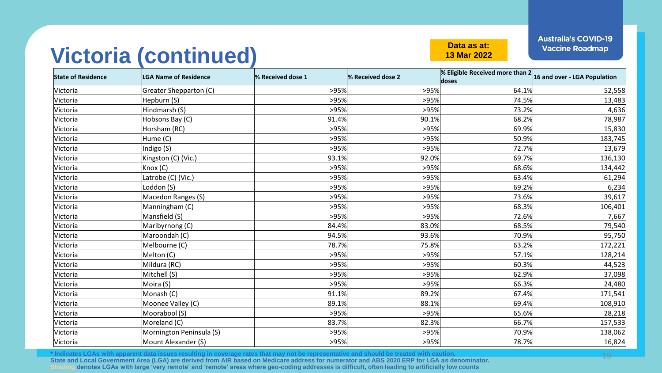#### **Victoria (continued) Data as at:**

**13 Mar 2022**

**Australia's COVID-19 Vaccine Roadmap** 

| <b>State of Residence</b> | LGA Name of Residence    | % Received dose 1 | % Received dose 2 | $\sqrt{\frac{2}{16}}$ Eligible Received more than $2 _{16}$ and over - LGA Population<br>doses |         |
|---------------------------|--------------------------|-------------------|-------------------|------------------------------------------------------------------------------------------------|---------|
| Victoria                  | Greater Shepparton (C)   | >95%              | >95%              | 64.1%                                                                                          | 52,558  |
| Victoria                  | Hepburn (S)              | >95%              | >95%              | 74.5%                                                                                          | 13,483  |
| Victoria                  | Hindmarsh (S)            | >95%              | >95%              | 73.2%                                                                                          | 4,636   |
| Victoria                  | Hobsons Bay (C)          | 91.4%             | 90.1%             | 68.2%                                                                                          | 78,987  |
| Victoria                  | Horsham (RC)             | >95%              | >95%              | 69.9%                                                                                          | 15,830  |
| Victoria                  | Hume (C)                 | >95%              | >95%              | 50.9%                                                                                          | 183,745 |
| Victoria                  | Indigo (S)               | >95%              | >95%              | 72.7%                                                                                          | 13,679  |
| Victoria                  | Kingston (C) (Vic.)      | 93.1%             | 92.0%             | 69.7%                                                                                          | 136,130 |
| Victoria                  | Knox (C)                 | >95%              | >95%              | 68.6%                                                                                          | 134,442 |
| Victoria                  | Latrobe (C) (Vic.)       | >95%              | >95%              | 63.4%                                                                                          | 61,294  |
| Victoria                  | Loddon (S)               | >95%              | >95%              | 69.2%                                                                                          | 6,234   |
| Victoria                  | Macedon Ranges (S)       | >95%              | >95%              | 73.6%                                                                                          | 39,617  |
| Victoria                  | Manningham (C)           | >95%              | >95%              | 68.3%                                                                                          | 106,401 |
| Victoria                  | Mansfield (S)            | >95%              | >95%              | 72.6%                                                                                          | 7,667   |
| Victoria                  | Maribyrnong (C)          | 84.4%             | 83.0%             | 68.5%                                                                                          | 79,540  |
| Victoria                  | Maroondah (C)            | 94.5%             | 93.6%             | 70.9%                                                                                          | 95,750  |
| Victoria                  | Melbourne (C)            | 78.7%             | 75.8%             | 63.2%                                                                                          | 172,221 |
| Victoria                  | Melton (C)               | >95%              | >95%              | 57.1%                                                                                          | 128,214 |
| Victoria                  | Mildura (RC)             | >95%              | >95%              | 60.3%                                                                                          | 44,523  |
| Victoria                  | Mitchell (S)             | >95%              | >95%              | 62.9%                                                                                          | 37,098  |
| Victoria                  | Moira (S)                | >95%              | >95%              | 66.3%                                                                                          | 24,480  |
| Victoria                  | Monash (C)               | 91.1%             | 89.2%             | 67.4%                                                                                          | 171,541 |
| Victoria                  | Moonee Valley (C)        | 89.1%             | 88.1%             | 69.4%                                                                                          | 108,910 |
| Victoria                  | Moorabool (S)            | >95%              | >95%              | 65.6%                                                                                          | 28,218  |
| Victoria                  | Moreland (C)             | 83.7%             | 82.3%             | 66.7%                                                                                          | 157,533 |
| Victoria                  | Mornington Peninsula (S) | >95%              | >95%              | 70.9%                                                                                          | 138,062 |
| Victoria                  | Mount Alexander (S)      | >95%              | >95%              | 78.7%                                                                                          | 16,824  |

**\* Indicates LGAs with apparent data issues resulting in coverage rates that may not be representative and should be treated with caution. State and Local Government Area (LGA) are derived from AIR based on Medicare address for numerator and ABS 2020 ERP for LGA as denominator. Shading denotes LGAs with large 'very remote' and 'remote' areas where geo-coding addresses is difficult, often leading to artificially low counts**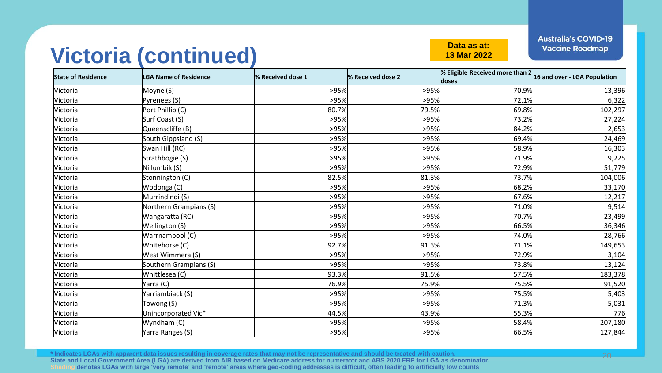#### **Victoria (continued) Data as at:**

**13 Mar 2022**

**Australia's COVID-19 Vaccine Roadmap** 

| <b>State of Residence</b> | <b>LGA Name of Residence</b> | % Received dose 1 | % Received dose 2 | $\mathscr{C}$ Eligible Received more than $2 _{16}$ and over - LGA Population<br>doses |         |
|---------------------------|------------------------------|-------------------|-------------------|----------------------------------------------------------------------------------------|---------|
| Victoria                  | Moyne (S)                    | >95%              | >95%              | 70.9%                                                                                  | 13,396  |
| Victoria                  | Pyrenees (S)                 | >95%              | >95%              | 72.1%                                                                                  | 6,322   |
| Victoria                  | Port Phillip (C)             | 80.7%             | 79.5%             | 69.8%                                                                                  | 102,297 |
| Victoria                  | Surf Coast (S)               | >95%              | >95%              | 73.2%                                                                                  | 27,224  |
| Victoria                  | Queenscliffe (B)             | >95%              | >95%              | 84.2%                                                                                  | 2,653   |
| Victoria                  | South Gippsland (S)          | >95%              | >95%              | 69.4%                                                                                  | 24,469  |
| Victoria                  | Swan Hill (RC)               | >95%              | >95%              | 58.9%                                                                                  | 16,303  |
| Victoria                  | Strathbogie (S)              | >95%              | >95%              | 71.9%                                                                                  | 9,225   |
| Victoria                  | Nillumbik (S)                | >95%              | >95%              | 72.9%                                                                                  | 51,779  |
| Victoria                  | Stonnington (C)              | 82.5%             | 81.3%             | 73.7%                                                                                  | 104,006 |
| Victoria                  | Wodonga (C)                  | >95%              | >95%              | 68.2%                                                                                  | 33,170  |
| Victoria                  | Murrindindi (S)              | >95%              | >95%              | 67.6%                                                                                  | 12,217  |
| Victoria                  | Northern Grampians (S)       | >95%              | >95%              | 71.0%                                                                                  | 9,514   |
| Victoria                  | Wangaratta (RC)              | >95%              | >95%              | 70.7%                                                                                  | 23,499  |
| Victoria                  | Wellington (S)               | >95%              | >95%              | 66.5%                                                                                  | 36,346  |
| Victoria                  | Warrnambool (C)              | >95%              | >95%              | 74.0%                                                                                  | 28,766  |
| Victoria                  | Whitehorse (C)               | 92.7%             | 91.3%             | 71.1%                                                                                  | 149,653 |
| Victoria                  | West Wimmera (S)             | >95%              | >95%              | 72.9%                                                                                  | 3,104   |
| Victoria                  | Southern Grampians (S)       | >95%              | >95%              | 73.8%                                                                                  | 13,124  |
| Victoria                  | Whittlesea (C)               | 93.3%             | 91.5%             | 57.5%                                                                                  | 183,378 |
| Victoria                  | Yarra (C)                    | 76.9%             | 75.9%             | 75.5%                                                                                  | 91,520  |
| Victoria                  | Yarriambiack (S)             | >95%              | >95%              | 75.5%                                                                                  | 5,403   |
| Victoria                  | Towong (S)                   | >95%              | >95%              | 71.3%                                                                                  | 5,031   |
| Victoria                  | Unincorporated Vic*          | 44.5%             | 43.9%             | 55.3%                                                                                  | 776     |
| Victoria                  | Wyndham (C)                  | >95%              | >95%              | 58.4%                                                                                  | 207,180 |
| Victoria                  | Yarra Ranges (S)             | >95%              | >95%              | 66.5%                                                                                  | 127,844 |

**\* Indicates LGAs with apparent data issues resulting in coverage rates that may not be representative and should be treated with caution. State and Local Government Area (LGA) are derived from AIR based on Medicare address for numerator and ABS 2020 ERP for LGA as denominator. Shading denotes LGAs with large 'very remote' and 'remote' areas where geo-coding addresses is difficult, often leading to artificially low counts**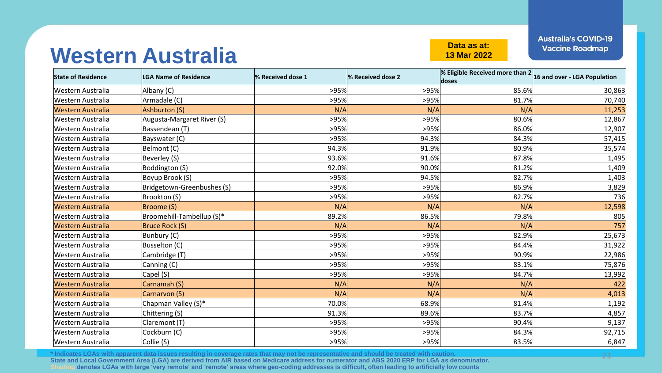#### **Western Australia Data as at:**

**13 Mar 2022**

**Australia's COVID-19 Vaccine Roadmap** 

| <b>State of Residence</b> | <b>LGA Name of Residence</b> | % Received dose 1 | % Received dose 2 | % Eligible Received more than $2 16$ and over - LGA Population |        |
|---------------------------|------------------------------|-------------------|-------------------|----------------------------------------------------------------|--------|
| Western Australia         | Albany (C)                   | >95%              | >95%              | 85.6%                                                          | 30,863 |
| Western Australia         | Armadale (C)                 | >95%              | >95%              | 81.7%                                                          | 70,740 |
| <b>Western Australia</b>  | Ashburton (S)                | N/A               | N/A               | N/A                                                            | 11,253 |
| Western Australia         | Augusta-Margaret River (S)   | >95%              | >95%              | 80.6%                                                          | 12,867 |
| Western Australia         | Bassendean (T)               | >95%              | >95%              | 86.0%                                                          | 12,907 |
| Western Australia         | Bayswater (C)                | >95%              | 94.3%             | 84.3%                                                          | 57,415 |
| Western Australia         | Belmont (C)                  | 94.3%             | 91.9%             | 80.9%                                                          | 35,574 |
| Western Australia         | Beverley (S)                 | 93.6%             | 91.6%             | 87.8%                                                          | 1,495  |
| Western Australia         | Boddington (S)               | 92.0%             | 90.0%             | 81.2%                                                          | 1,409  |
| Western Australia         | Boyup Brook (S)              | >95%              | 94.5%             | 82.7%                                                          | 1,403  |
| Western Australia         | Bridgetown-Greenbushes (S)   | >95%              | >95%              | 86.9%                                                          | 3,829  |
| Western Australia         | Brookton (S)                 | >95%              | >95%              | 82.7%                                                          | 736    |
| <b>Western Australia</b>  | Broome (S)                   | N/A               | N/A               | N/A                                                            | 12,598 |
| Western Australia         | Broomehill-Tambellup (S)*    | 89.2%             | 86.5%             | 79.8%                                                          | 805    |
| <b>Western Australia</b>  | Bruce Rock (S)               | N/A               | N/A               | N/A                                                            | 757    |
| Western Australia         | Bunbury (C)                  | >95%              | >95%              | 82.9%                                                          | 25,673 |
| Western Australia         | Busselton (C)                | >95%              | >95%              | 84.4%                                                          | 31,922 |
| Western Australia         | Cambridge (T)                | >95%              | >95%              | 90.9%                                                          | 22,986 |
| Western Australia         | Canning (C)                  | >95%              | >95%              | 83.1%                                                          | 75,876 |
| Western Australia         | Capel (S)                    | >95%              | >95%              | 84.7%                                                          | 13,992 |
| <b>Western Australia</b>  | Carnamah (S)                 | N/A               | N/A               | N/A                                                            | 422    |
| <b>Western Australia</b>  | Carnarvon (S)                | N/A               | N/A               | N/A                                                            | 4,013  |
| Western Australia         | Chapman Valley (S)*          | 70.0%             | 68.9%             | 81.4%                                                          | 1,192  |
| Western Australia         | Chittering (S)               | 91.3%             | 89.6%             | 83.7%                                                          | 4,857  |
| Western Australia         | Claremont (T)                | >95%              | >95%              | 90.4%                                                          | 9,137  |
| Western Australia         | Cockburn (C)                 | >95%              | >95%              | 84.3%                                                          | 92,715 |
| Western Australia         | Collie (S)                   | >95%              | >95%              | 83.5%                                                          | 6,847  |

**\* Indicates LGAs with apparent data issues resulting in coverage rates that may not be representative and should be treated with caution. State and Local Government Area (LGA) are derived from AIR based on Medicare address for numerator and ABS 2020 ERP for LGA as denominator. Shading denotes LGAs with large 'very remote' and 'remote' areas where geo-coding addresses is difficult, often leading to artificially low counts**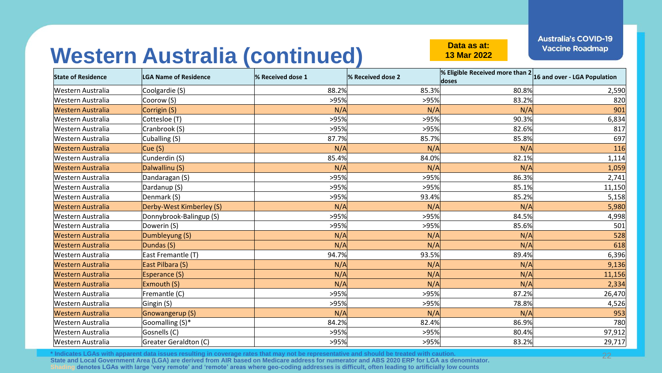**13 Mar 2022**

# Western Australia (continued) **Data as at:**

| <b>State of Residence</b> | <b>LGA Name of Residence</b> | % Received dose 1 | % Received dose 2 | <b>% Eligible Received more than <math>2 16</math> and over - LGA Population</b><br>doses |        |
|---------------------------|------------------------------|-------------------|-------------------|-------------------------------------------------------------------------------------------|--------|
| Western Australia         | Coolgardie (S)               | 88.2%             | 85.3%             | 80.8%                                                                                     | 2,590  |
| Western Australia         | Coorow (S)                   | >95%              | >95%              | 83.2%                                                                                     | 820    |
| <b>Western Australia</b>  | Corrigin (S)                 | N/A               | N/A               | N/A                                                                                       | 901    |
| Western Australia         | Cottesloe (T)                | >95%              | >95%              | 90.3%                                                                                     | 6,834  |
| <b>Western Australia</b>  | Cranbrook (S)                | >95%              | >95%              | 82.6%                                                                                     | 817    |
| Western Australia         | Cuballing (S)                | 87.7%             | 85.7%             | 85.8%                                                                                     | 697    |
| <b>Western Australia</b>  | Cue(S)                       | N/A               | N/A               | N/A                                                                                       | 116    |
| Western Australia         | Cunderdin (S)                | 85.4%             | 84.0%             | 82.1%                                                                                     | 1,114  |
| <b>Western Australia</b>  | Dalwallinu (S)               | N/A               | N/A               | N/A                                                                                       | 1,059  |
| Western Australia         | Dandaragan (S)               | >95%              | >95%              | 86.3%                                                                                     | 2,741  |
| <b>Western Australia</b>  | Dardanup (S)                 | >95%              | >95%              | 85.1%                                                                                     | 11,150 |
| <b>Western Australia</b>  | Denmark (S)                  | >95%              | 93.4%             | 85.2%                                                                                     | 5,158  |
| <b>Western Australia</b>  | Derby-West Kimberley (S)     | N/A               | N/A               | N/A                                                                                       | 5,980  |
| <b>Western Australia</b>  | Donnybrook-Balingup (S)      | >95%              | >95%              | 84.5%                                                                                     | 4,998  |
| Western Australia         | Dowerin (S)                  | >95%              | >95%              | 85.6%                                                                                     | 501    |
| <b>Western Australia</b>  | Dumbleyung (S)               | N/A               | N/A               | N/A                                                                                       | 528    |
| <b>Western Australia</b>  | Dundas (S)                   | N/A               | N/A               | N/A                                                                                       | 618    |
| <b>Western Australia</b>  | East Fremantle (T)           | 94.7%             | 93.5%             | 89.4%                                                                                     | 6,396  |
| <b>Western Australia</b>  | East Pilbara (S)             | N/A               | N/A               | N/A                                                                                       | 9,136  |
| <b>Western Australia</b>  | Esperance (S)                | N/A               | N/A               | N/A                                                                                       | 11,156 |
| <b>Western Australia</b>  | Exmouth (S)                  | N/A               | N/A               | N/A                                                                                       | 2,334  |
| Western Australia         | Fremantle (C)                | >95%              | >95%              | 87.2%                                                                                     | 26,470 |
| <b>Western Australia</b>  | Gingin (S)                   | >95%              | >95%              | 78.8%                                                                                     | 4,526  |
| <b>Western Australia</b>  | Gnowangerup (S)              | N/A               | N/A               | N/A                                                                                       | 953    |
| Western Australia         | Goomalling (S)*              | 84.2%             | 82.4%             | 86.9%                                                                                     | 780    |
| <b>Western Australia</b>  | Gosnells (C)                 | >95%              | >95%              | 80.4%                                                                                     | 97,912 |
| <b>Western Australia</b>  | Greater Geraldton (C)        | >95%              | >95%              | 83.2%                                                                                     | 29,717 |

**\* Indicates LGAs with apparent data issues resulting in coverage rates that may not be representative and should be treated with caution. State and Local Government Area (LGA) are derived from AIR based on Medicare address for numerator and ABS 2020 ERP for LGA as denominator. Shading denotes LGAs with large 'very remote' and 'remote' areas where geo-coding addresses is difficult, often leading to artificially low counts**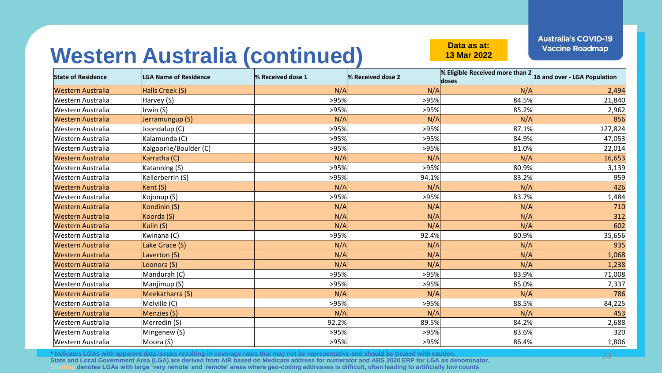**13 Mar 2022**

# Western Australia (continued) **Data as at:**

| <b>State of Residence</b> | <b>LGA Name of Residence</b> | % Received dose 1 | % Received dose 2 | <b>% Eligible Received more than <math>2 16</math> and over - LGA Population</b><br>doses |         |
|---------------------------|------------------------------|-------------------|-------------------|-------------------------------------------------------------------------------------------|---------|
| Western Australia         | Halls Creek (S)              | N/A               | N/A               | N/A                                                                                       | 2,494   |
| Western Australia         | Harvey (S)                   | >95%              | >95%              | 84.5%                                                                                     | 21,840  |
| Western Australia         | Irwin (S)                    | >95%              | >95%              | 85.2%                                                                                     | 2,962   |
| <b>Western Australia</b>  | Jerramungup (S)              | N/A               | N/A               | N/A                                                                                       | 856     |
| Western Australia         | Joondalup (C)                | >95%              | >95%              | 87.1%                                                                                     | 127,824 |
| <b>Western Australia</b>  | Kalamunda (C)                | >95%              | >95%              | 84.9%                                                                                     | 47,053  |
| Western Australia         | Kalgoorlie/Boulder (C)       | >95%              | >95%              | 81.0%                                                                                     | 22,014  |
| <b>Western Australia</b>  | Karratha (C)                 | N/A               | N/A               | N/A                                                                                       | 16,653  |
| Western Australia         | Katanning (S)                | >95%              | >95%              | 80.9%                                                                                     | 3,139   |
| <b>Western Australia</b>  | Kellerberrin (S)             | >95%              | 94.1%             | 83.2%                                                                                     | 959     |
| <b>Western Australia</b>  | Kent (S)                     | N/A               | N/A               | N/A                                                                                       | 426     |
| <b>Western Australia</b>  | Kojonup (S)                  | >95%              | >95%              | 83.7%                                                                                     | 1,484   |
| <b>Western Australia</b>  | Kondinin (S)                 | N/A               | N/A               | N/A                                                                                       | 710     |
| <b>Western Australia</b>  | Koorda (S)                   | N/A               | N/A               | N/A                                                                                       | 312     |
| <b>Western Australia</b>  | Kulin (S)                    | N/A               | N/A               | N/A                                                                                       | 602     |
| <b>Western Australia</b>  | Kwinana (C)                  | >95%              | 92.4%             | 80.9%                                                                                     | 35,656  |
| <b>Western Australia</b>  | Lake Grace (S)               | N/A               | N/A               | N/A                                                                                       | 935     |
| <b>Western Australia</b>  | Laverton (S)                 | N/A               | N/A               | N/A                                                                                       | 1,068   |
| <b>Western Australia</b>  | Leonora (S)                  | N/A               | N/A               | N/A                                                                                       | 1,238   |
| Western Australia         | Mandurah (C)                 | >95%              | >95%              | 83.9%                                                                                     | 71,008  |
| <b>Western Australia</b>  | Manjimup (S)                 | >95%              | >95%              | 85.0%                                                                                     | 7,337   |
| <b>Western Australia</b>  | Meekatharra (S)              | N/A               | N/A               | N/A                                                                                       | 786     |
| <b>Western Australia</b>  | Melville (C)                 | >95%              | >95%              | 88.5%                                                                                     | 84,225  |
| <b>Western Australia</b>  | Menzies (S)                  | N/A               | N/A               | N/A                                                                                       | 453     |
| Western Australia         | Merredin (S)                 | 92.2%             | 89.5%             | 84.2%                                                                                     | 2,688   |
| <b>Western Australia</b>  | Mingenew (S)                 | >95%              | >95%              | 83.6%                                                                                     | 320     |
| <b>Western Australia</b>  | Moora (S)                    | >95%              | >95%              | 86.4%                                                                                     | 1,806   |

**\* Indicates LGAs with apparent data issues resulting in coverage rates that may not be representative and should be treated with caution. State and Local Government Area (LGA) are derived from AIR based on Medicare address for numerator and ABS 2020 ERP for LGA as denominator. Shading denotes LGAs with large 'very remote' and 'remote' areas where geo-coding addresses is difficult, often leading to artificially low counts**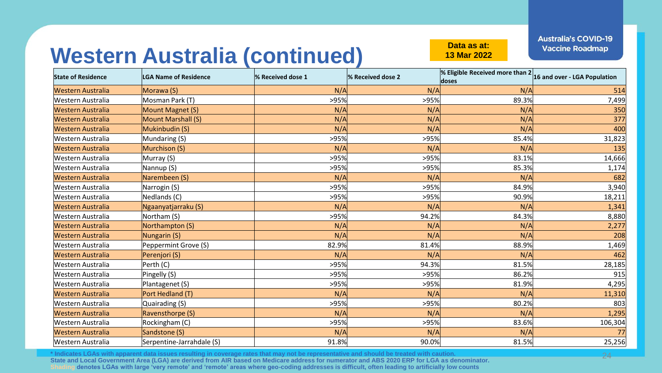**13 Mar 2022**

# Western Australia (continued) **Data as at:**

| <b>State of Residence</b> | <b>LGA Name of Residence</b> | % Received dose 1 | % Received dose 2 | <b>% Eligible Received more than <math>2 16</math> and over - LGA Population</b><br>doses |         |
|---------------------------|------------------------------|-------------------|-------------------|-------------------------------------------------------------------------------------------|---------|
| Western Australia         | Morawa (S)                   | N/A               | N/A               | N/A                                                                                       | 514     |
| Western Australia         | Mosman Park (T)              | >95%              | >95%              | 89.3%                                                                                     | 7,499   |
| <b>Western Australia</b>  | Mount Magnet (S)             | N/A               | N/A               | N/A                                                                                       | 350     |
| <b>Western Australia</b>  | Mount Marshall (S)           | N/A               | N/A               | N/A                                                                                       | 377     |
| <b>Western Australia</b>  | Mukinbudin (S)               | N/A               | N/A               | N/A                                                                                       | 400     |
| Western Australia         | Mundaring (S)                | >95%              | >95%              | 85.4%                                                                                     | 31,823  |
| <b>Western Australia</b>  | Murchison (S)                | N/A               | N/A               | N/A                                                                                       | 135     |
| Western Australia         | Murray (S)                   | >95%              | >95%              | 83.1%                                                                                     | 14,666  |
| Western Australia         | Nannup (S)                   | >95%              | >95%              | 85.3%                                                                                     | 1,174   |
| <b>Western Australia</b>  | Narembeen (S)                | N/A               | N/A               | N/A                                                                                       | 682     |
| <b>Western Australia</b>  | Narrogin (S)                 | >95%              | >95%              | 84.9%                                                                                     | 3,940   |
| <b>Western Australia</b>  | Nedlands (C)                 | >95%              | >95%              | 90.9%                                                                                     | 18,211  |
| <b>Western Australia</b>  | Ngaanyatjarraku (S)          | N/A               | N/A               | N/A                                                                                       | 1,341   |
| <b>Western Australia</b>  | Northam (S)                  | >95%              | 94.2%             | 84.3%                                                                                     | 8,880   |
| <b>Western Australia</b>  | Northampton (S)              | N/A               | N/A               | N/A                                                                                       | 2,277   |
| <b>Western Australia</b>  | Nungarin (S)                 | N/A               | N/A               | N/A                                                                                       | 208     |
| Western Australia         | Peppermint Grove (S)         | 82.9%             | 81.4%             | 88.9%                                                                                     | 1,469   |
| <b>Western Australia</b>  | Perenjori (S)                | N/A               | N/A               | N/A                                                                                       | 462     |
| <b>Western Australia</b>  | Perth (C)                    | >95%              | 94.3%             | 81.5%                                                                                     | 28,185  |
| <b>Western Australia</b>  | Pingelly (S)                 | >95%              | >95%              | 86.2%                                                                                     | 915     |
| Western Australia         | Plantagenet (S)              | >95%              | >95%              | 81.9%                                                                                     | 4,295   |
| <b>Western Australia</b>  | Port Hedland (T)             | N/A               | N/A               | N/A                                                                                       | 11,310  |
| <b>Western Australia</b>  | Quairading (S)               | >95%              | >95%              | 80.2%                                                                                     | 803     |
| <b>Western Australia</b>  | Ravensthorpe (S)             | N/A               | N/A               | N/A                                                                                       | 1,295   |
| <b>Western Australia</b>  | Rockingham (C)               | >95%              | >95%              | 83.6%                                                                                     | 106,304 |
| <b>Western Australia</b>  | Sandstone (S)                | N/A               | N/A               | N/A                                                                                       | 77      |
| <b>Western Australia</b>  | Serpentine-Jarrahdale (S)    | 91.8%             | 90.0%             | 81.5%                                                                                     | 25,256  |

**\* Indicates LGAs with apparent data issues resulting in coverage rates that may not be representative and should be treated with caution. State and Local Government Area (LGA) are derived from AIR based on Medicare address for numerator and ABS 2020 ERP for LGA as denominator. Shading denotes LGAs with large 'very remote' and 'remote' areas where geo-coding addresses is difficult, often leading to artificially low counts**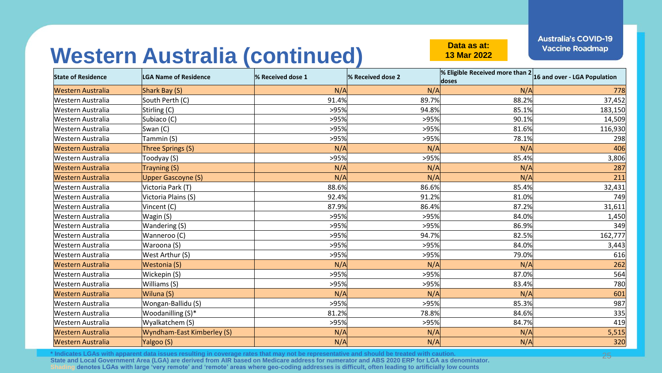**13 Mar 2022**

# Western Australia (continued) **Data as at:**

| <b>State of Residence</b> | <b>LGA Name of Residence</b> | % Received dose 1 | % Received dose 2 | <b>% Eligible Received more than <math>2 16</math> and over - LGA Population</b><br>doses |         |
|---------------------------|------------------------------|-------------------|-------------------|-------------------------------------------------------------------------------------------|---------|
| <b>Western Australia</b>  | Shark Bay (S)                | N/A               | N/A               | N/A                                                                                       | 778     |
| Western Australia         | South Perth (C)              | 91.4%             | 89.7%             | 88.2%                                                                                     | 37,452  |
| <b>Western Australia</b>  | Stirling (C)                 | >95%              | 94.8%             | 85.1%                                                                                     | 183,150 |
| Western Australia         | Subiaco (C)                  | >95%              | >95%              | 90.1%                                                                                     | 14,509  |
| <b>Western Australia</b>  | Swan (C)                     | >95%              | >95%              | 81.6%                                                                                     | 116,930 |
| Western Australia         | Tammin (S)                   | >95%              | >95%              | 78.1%                                                                                     | 298     |
| <b>Western Australia</b>  | Three Springs (S)            | N/A               | N/A               | N/A                                                                                       | 406     |
| Western Australia         | Toodyay (S)                  | >95%              | >95%              | 85.4%                                                                                     | 3,806   |
| <b>Western Australia</b>  | Trayning (S)                 | N/A               | N/A               | N/A                                                                                       | 287     |
| <b>Western Australia</b>  | <b>Upper Gascoyne (S)</b>    | N/A               | N/A               | N/A                                                                                       | 211     |
| <b>Western Australia</b>  | Victoria Park (T)            | 88.6%             | 86.6%             | 85.4%                                                                                     | 32,431  |
| <b>Western Australia</b>  | Victoria Plains (S)          | 92.4%             | 91.2%             | 81.0%                                                                                     | 749     |
| Western Australia         | Vincent (C)                  | 87.9%             | 86.4%             | 87.2%                                                                                     | 31,611  |
| <b>Western Australia</b>  | Wagin (S)                    | >95%              | >95%              | 84.0%                                                                                     | 1,450   |
| Western Australia         | Wandering (S)                | >95%              | >95%              | 86.9%                                                                                     | 349     |
| <b>Western Australia</b>  | Wanneroo (C)                 | >95%              | 94.7%             | 82.5%                                                                                     | 162,777 |
| Western Australia         | Waroona (S)                  | >95%              | >95%              | 84.0%                                                                                     | 3,443   |
| <b>Western Australia</b>  | West Arthur (S)              | >95%              | >95%              | 79.0%                                                                                     | 616     |
| <b>Western Australia</b>  | Westonia (S)                 | N/A               | N/A               | N/A                                                                                       | 262     |
| <b>Western Australia</b>  | Wickepin (S)                 | >95%              | >95%              | 87.0%                                                                                     | 564     |
| Western Australia         | Williams (S)                 | >95%              | >95%              | 83.4%                                                                                     | 780     |
| <b>Western Australia</b>  | Wiluna (S)                   | N/A               | N/A               | N/A                                                                                       | 601     |
| <b>Western Australia</b>  | Wongan-Ballidu (S)           | >95%              | >95%              | 85.3%                                                                                     | 987     |
| <b>Western Australia</b>  | Woodanilling (S)*            | 81.2%             | 78.8%             | 84.6%                                                                                     | 335     |
| <b>Western Australia</b>  | Wyalkatchem (S)              | >95%              | >95%              | 84.7%                                                                                     | 419     |
| <b>Western Australia</b>  | Wyndham-East Kimberley (S)   | N/A               | N/A               | N/A                                                                                       | 5,515   |
| <b>Western Australia</b>  | Yalgoo (S)                   | N/A               | N/A               | N/A                                                                                       | 320     |

**\* Indicates LGAs with apparent data issues resulting in coverage rates that may not be representative and should be treated with caution. State and Local Government Area (LGA) are derived from AIR based on Medicare address for numerator and ABS 2020 ERP for LGA as denominator. Shading denotes LGAs with large 'very remote' and 'remote' areas where geo-coding addresses is difficult, often leading to artificially low counts**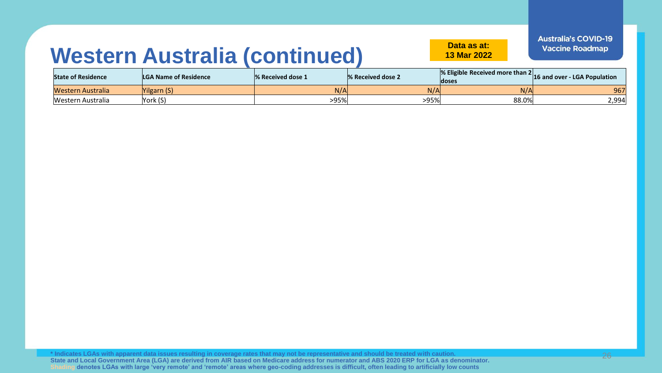#### **13 Mar 2022**

**Australia's COVID-19 Vaccine Roadmap** 

#### **Western Australia (continued) Data as at:**

| <b>State of Residence</b> | <b>LGA Name of Residence</b> | % Received dose 1 | 8 % Received dose 2 | $\%$ Eligible Received more than 2<br>doses | [16 and over - LGA Population] |
|---------------------------|------------------------------|-------------------|---------------------|---------------------------------------------|--------------------------------|
| Western Australia         | 'ilgarn (S)                  | N/A               | N/A                 | N/A                                         | 967                            |
| Western Australia         | York (S)                     | >95%              | >95%                | 88.0%                                       | 2,994                          |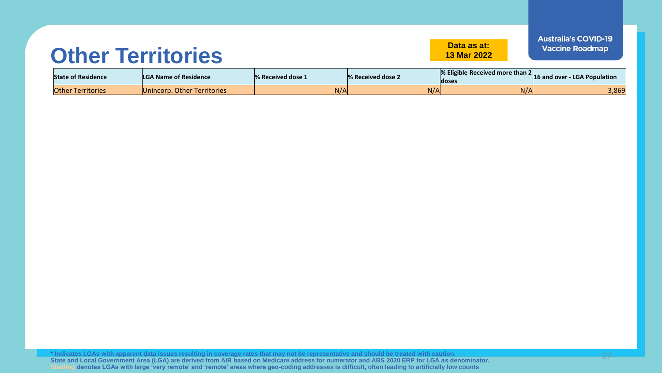#### **Other Territories Data as at:**

**13 Mar 2022**

| <b>State of Residence</b> | <b>LGA Name of Residence</b> | 1% Received dose 1 | <b>1% Received dose 2</b> | ∣doses | $\%$ Eligible Received more than 2 $ $ 16 and over - LGA Population |
|---------------------------|------------------------------|--------------------|---------------------------|--------|---------------------------------------------------------------------|
| <b>Other Territories</b>  | Unincorp. Other Territories  | N/A                | N/A                       | N/A    | 3,869                                                               |